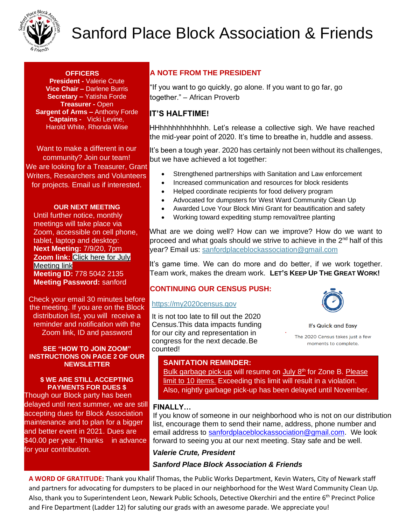

# Sanford Place Block Association & Friends

### **OFFICERS**

**President -** Valerie Crute **Vice Chair –** Darlene Burris **Secretary –** Yatisha Forde **Treasurer -** Open **Sargent of Arms –** Anthony Forde **Captains -** Vicki Levine, Harold White, Rhonda Wise

Want to make a different in our community? Join our team! We are looking for a Treasurer, Grant Writers, Researchers and Volunteers for projects. Email us if interested.

### **OUR NEXT MEETING**

Until further notice, monthly meetings will take place via Zoom, accessible on cell phone, tablet, laptop and desktop: **Next Meeting:** 7/9/20, 7pm **Zoom link:** Click here for July [Meeting link](https://www.google.com/url?q=https://us04web.zoom.us/j/2544907895?pwd%3Dai9TbzA4NWx3WW1KUUJjc3BkVndKUT09&sa=D&source=calendar&usd=2&usg=AOvVaw1CuU-F2XWeu0x4p-Ur47jv) **Meeting ID:** 778 5042 2135 **Meeting Password:** sanford

Check your email 30 minutes before the meeting. If you are on the Block distribution list, you will receive a reminder and notification with the Zoom link, ID and password

#### **SEE "HOW TO JOIN ZOOM" INSTRUCTIONS ON PAGE 2 OF OUR NEWSLETTER**

#### **\$ WE ARE STILL ACCEPTING PAYMENTS FOR DUES \$**

Though our Block party has been delayed until next summer, we are still accepting dues for Block Association maintenance and to plan for a bigger and better event in 2021. Dues are \$40.00 per year. Thanks in advance for your contribution.

## **A NOTE FROM THE PRESIDENT**

"If you want to go quickly, go alone. If you want to go far, go together." – African Proverb

### **IT'S HALFTIME!**

HHhhhhhhhhhhhh. Let's release a collective sigh. We have reached the mid-year point of 2020. It's time to breathe in, huddle and assess.

It's been a tough year. 2020 has certainly not been without its challenges, but we have achieved a lot together:

- Strengthened partnerships with Sanitation and Law enforcement
- Increased communication and resources for block residents
- Helped coordinate recipients for food delivery program
- Advocated for dumpsters for West Ward Community Clean Up
- Awarded Love Your Block Mini Grant for beautification and safety
- Working toward expediting stump removal/tree planting

What are we doing well? How can we improve? How do we want to proceed and what goals should we strive to achieve in the 2<sup>nd</sup> half of this year? Email us: sanfordplaceblockassociation@gmail.com

It's game time. We can do more and do better, if we work together. Team work, makes the dream work. **LET'S KEEP UP THE GREAT WORK!**

### **CONTINUING OUR CENSUS PUSH:**

### [https://my2020census.gov](https://my2020census.gov/)

It is not too late to fill out th[e 2](https://my2020census.gov/)020 Census. This data impacts funding for our city and representation in congress for the next decade. Be counted!



**It's Quick and Easy** 

The 2020 Census takes just a few moments to complete.

### **SANITATION REMINDER:**

Bulk garbage pick-up will resume on July 8<sup>th</sup> for Zone B. Please limit to 10 items. Exceeding this limit will result in a violation. Also, nightly garbage pick-up has been delayed until November.

### **FINALLY…**

If you know of someone in our neighborhood who is not on our distribution list, encourage them to send their name, address, phone number and email address to [sanfordplaceblockassociation@gmail.com.](mailto:sanfordplaceblockassociation@gmail.com) We look forward to seeing you at our next meeting. Stay safe and be well.

### *Valerie Crute, President*

### *Sanford Place Block Association & Friends*

**A WORD OF GRATITUDE:** Thank you Khalif Thomas, the Public Works Department, Kevin Waters, City of Newark staff and partners for advocating for dumpsters to be placed in our neighborhood for the West Ward Community Clean Up. Also, thank you to Superintendent Leon, Newark Public Schools, Detective Okerchiri and the entire 6<sup>th</sup> Precinct Police and Fire Department (Ladder 12) for saluting our grads with an awesome parade. We appreciate you!